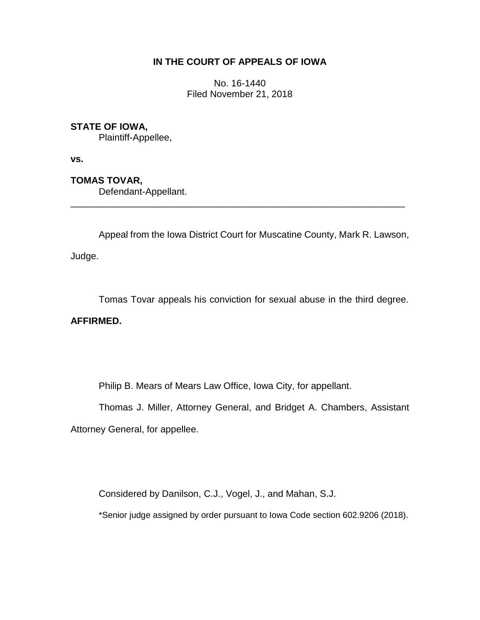# **IN THE COURT OF APPEALS OF IOWA**

No. 16-1440 Filed November 21, 2018

# **STATE OF IOWA,**

Plaintiff-Appellee,

**vs.**

**TOMAS TOVAR,**

Defendant-Appellant.

Appeal from the Iowa District Court for Muscatine County, Mark R. Lawson,

\_\_\_\_\_\_\_\_\_\_\_\_\_\_\_\_\_\_\_\_\_\_\_\_\_\_\_\_\_\_\_\_\_\_\_\_\_\_\_\_\_\_\_\_\_\_\_\_\_\_\_\_\_\_\_\_\_\_\_\_\_\_\_\_

Judge.

Tomas Tovar appeals his conviction for sexual abuse in the third degree.

# **AFFIRMED.**

Philip B. Mears of Mears Law Office, Iowa City, for appellant.

Thomas J. Miller, Attorney General, and Bridget A. Chambers, Assistant Attorney General, for appellee.

Considered by Danilson, C.J., Vogel, J., and Mahan, S.J.

\*Senior judge assigned by order pursuant to Iowa Code section 602.9206 (2018).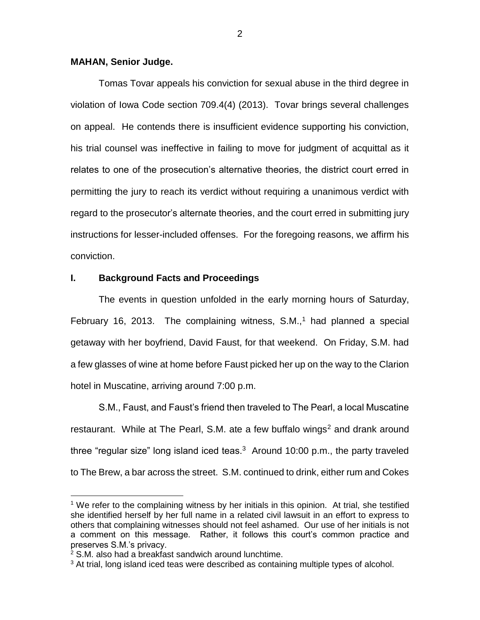## **MAHAN, Senior Judge.**

Tomas Tovar appeals his conviction for sexual abuse in the third degree in violation of Iowa Code section 709.4(4) (2013). Tovar brings several challenges on appeal. He contends there is insufficient evidence supporting his conviction, his trial counsel was ineffective in failing to move for judgment of acquittal as it relates to one of the prosecution's alternative theories, the district court erred in permitting the jury to reach its verdict without requiring a unanimous verdict with regard to the prosecutor's alternate theories, and the court erred in submitting jury instructions for lesser-included offenses. For the foregoing reasons, we affirm his conviction.

## **I. Background Facts and Proceedings**

The events in question unfolded in the early morning hours of Saturday, February 16, 2013. The complaining witness,  $S.M.,<sup>1</sup>$  had planned a special getaway with her boyfriend, David Faust, for that weekend. On Friday, S.M. had a few glasses of wine at home before Faust picked her up on the way to the Clarion hotel in Muscatine, arriving around 7:00 p.m.

S.M., Faust, and Faust's friend then traveled to The Pearl, a local Muscatine restaurant. While at The Pearl, S.M. ate a few buffalo wings<sup>2</sup> and drank around three "regular size" long island iced teas. $3$  Around 10:00 p.m., the party traveled to The Brew, a bar across the street. S.M. continued to drink, either rum and Cokes

 $\overline{a}$ 

<sup>&</sup>lt;sup>1</sup> We refer to the complaining witness by her initials in this opinion. At trial, she testified she identified herself by her full name in a related civil lawsuit in an effort to express to others that complaining witnesses should not feel ashamed. Our use of her initials is not a comment on this message. Rather, it follows this court's common practice and preserves S.M.'s privacy.

<sup>2</sup> S.M. also had a breakfast sandwich around lunchtime.

<sup>&</sup>lt;sup>3</sup> At trial, long island iced teas were described as containing multiple types of alcohol.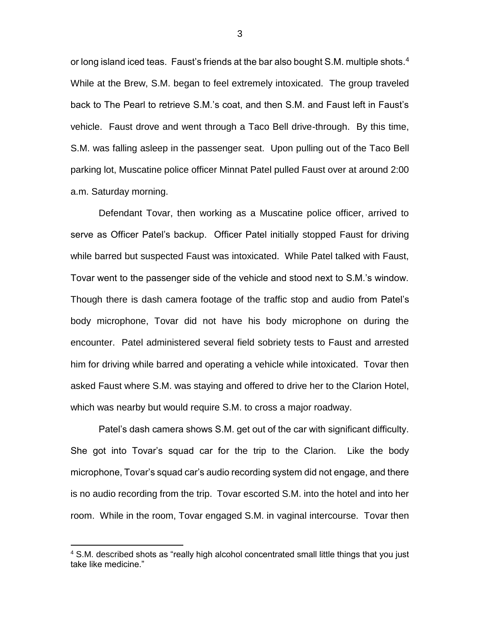or long island iced teas. Faust's friends at the bar also bought S.M. multiple shots.<sup>4</sup> While at the Brew, S.M. began to feel extremely intoxicated. The group traveled back to The Pearl to retrieve S.M.'s coat, and then S.M. and Faust left in Faust's vehicle. Faust drove and went through a Taco Bell drive-through. By this time, S.M. was falling asleep in the passenger seat. Upon pulling out of the Taco Bell parking lot, Muscatine police officer Minnat Patel pulled Faust over at around 2:00 a.m. Saturday morning.

Defendant Tovar, then working as a Muscatine police officer, arrived to serve as Officer Patel's backup. Officer Patel initially stopped Faust for driving while barred but suspected Faust was intoxicated. While Patel talked with Faust, Tovar went to the passenger side of the vehicle and stood next to S.M.'s window. Though there is dash camera footage of the traffic stop and audio from Patel's body microphone, Tovar did not have his body microphone on during the encounter. Patel administered several field sobriety tests to Faust and arrested him for driving while barred and operating a vehicle while intoxicated. Tovar then asked Faust where S.M. was staying and offered to drive her to the Clarion Hotel, which was nearby but would require S.M. to cross a major roadway.

Patel's dash camera shows S.M. get out of the car with significant difficulty. She got into Tovar's squad car for the trip to the Clarion. Like the body microphone, Tovar's squad car's audio recording system did not engage, and there is no audio recording from the trip. Tovar escorted S.M. into the hotel and into her room. While in the room, Tovar engaged S.M. in vaginal intercourse. Tovar then

 $\overline{a}$ 

<sup>&</sup>lt;sup>4</sup> S.M. described shots as "really high alcohol concentrated small little things that you just take like medicine."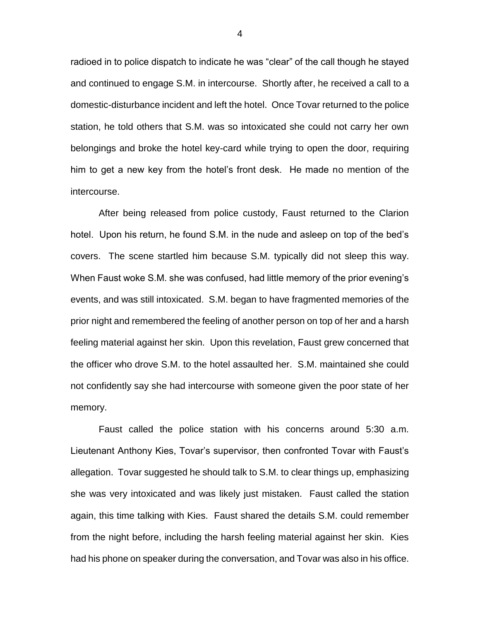radioed in to police dispatch to indicate he was "clear" of the call though he stayed and continued to engage S.M. in intercourse. Shortly after, he received a call to a domestic-disturbance incident and left the hotel. Once Tovar returned to the police station, he told others that S.M. was so intoxicated she could not carry her own belongings and broke the hotel key-card while trying to open the door, requiring him to get a new key from the hotel's front desk. He made no mention of the intercourse.

After being released from police custody, Faust returned to the Clarion hotel. Upon his return, he found S.M. in the nude and asleep on top of the bed's covers. The scene startled him because S.M. typically did not sleep this way. When Faust woke S.M. she was confused, had little memory of the prior evening's events, and was still intoxicated. S.M. began to have fragmented memories of the prior night and remembered the feeling of another person on top of her and a harsh feeling material against her skin. Upon this revelation, Faust grew concerned that the officer who drove S.M. to the hotel assaulted her. S.M. maintained she could not confidently say she had intercourse with someone given the poor state of her memory.

Faust called the police station with his concerns around 5:30 a.m. Lieutenant Anthony Kies, Tovar's supervisor, then confronted Tovar with Faust's allegation. Tovar suggested he should talk to S.M. to clear things up, emphasizing she was very intoxicated and was likely just mistaken. Faust called the station again, this time talking with Kies. Faust shared the details S.M. could remember from the night before, including the harsh feeling material against her skin. Kies had his phone on speaker during the conversation, and Tovar was also in his office.

4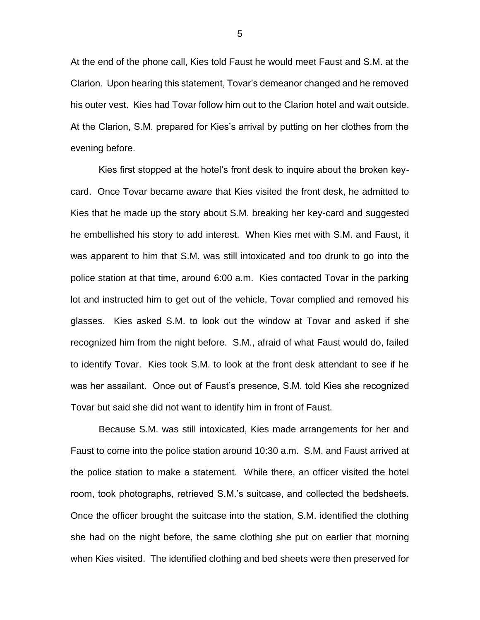At the end of the phone call, Kies told Faust he would meet Faust and S.M. at the Clarion. Upon hearing this statement, Tovar's demeanor changed and he removed his outer vest. Kies had Tovar follow him out to the Clarion hotel and wait outside. At the Clarion, S.M. prepared for Kies's arrival by putting on her clothes from the evening before.

Kies first stopped at the hotel's front desk to inquire about the broken keycard. Once Tovar became aware that Kies visited the front desk, he admitted to Kies that he made up the story about S.M. breaking her key-card and suggested he embellished his story to add interest. When Kies met with S.M. and Faust, it was apparent to him that S.M. was still intoxicated and too drunk to go into the police station at that time, around 6:00 a.m. Kies contacted Tovar in the parking lot and instructed him to get out of the vehicle, Tovar complied and removed his glasses. Kies asked S.M. to look out the window at Tovar and asked if she recognized him from the night before. S.M., afraid of what Faust would do, failed to identify Tovar. Kies took S.M. to look at the front desk attendant to see if he was her assailant. Once out of Faust's presence, S.M. told Kies she recognized Tovar but said she did not want to identify him in front of Faust.

Because S.M. was still intoxicated, Kies made arrangements for her and Faust to come into the police station around 10:30 a.m. S.M. and Faust arrived at the police station to make a statement. While there, an officer visited the hotel room, took photographs, retrieved S.M.'s suitcase, and collected the bedsheets. Once the officer brought the suitcase into the station, S.M. identified the clothing she had on the night before, the same clothing she put on earlier that morning when Kies visited. The identified clothing and bed sheets were then preserved for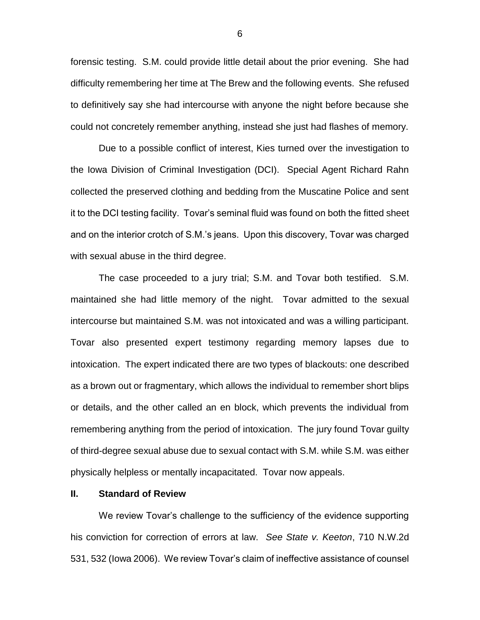forensic testing. S.M. could provide little detail about the prior evening. She had difficulty remembering her time at The Brew and the following events. She refused to definitively say she had intercourse with anyone the night before because she could not concretely remember anything, instead she just had flashes of memory.

Due to a possible conflict of interest, Kies turned over the investigation to the Iowa Division of Criminal Investigation (DCI). Special Agent Richard Rahn collected the preserved clothing and bedding from the Muscatine Police and sent it to the DCI testing facility. Tovar's seminal fluid was found on both the fitted sheet and on the interior crotch of S.M.'s jeans. Upon this discovery, Tovar was charged with sexual abuse in the third degree.

The case proceeded to a jury trial; S.M. and Tovar both testified. S.M. maintained she had little memory of the night. Tovar admitted to the sexual intercourse but maintained S.M. was not intoxicated and was a willing participant. Tovar also presented expert testimony regarding memory lapses due to intoxication. The expert indicated there are two types of blackouts: one described as a brown out or fragmentary, which allows the individual to remember short blips or details, and the other called an en block, which prevents the individual from remembering anything from the period of intoxication. The jury found Tovar guilty of third-degree sexual abuse due to sexual contact with S.M. while S.M. was either physically helpless or mentally incapacitated. Tovar now appeals.

#### **II. Standard of Review**

We review Tovar's challenge to the sufficiency of the evidence supporting his conviction for correction of errors at law. *See State v. Keeton*, 710 N.W.2d 531, 532 (Iowa 2006). We review Tovar's claim of ineffective assistance of counsel

6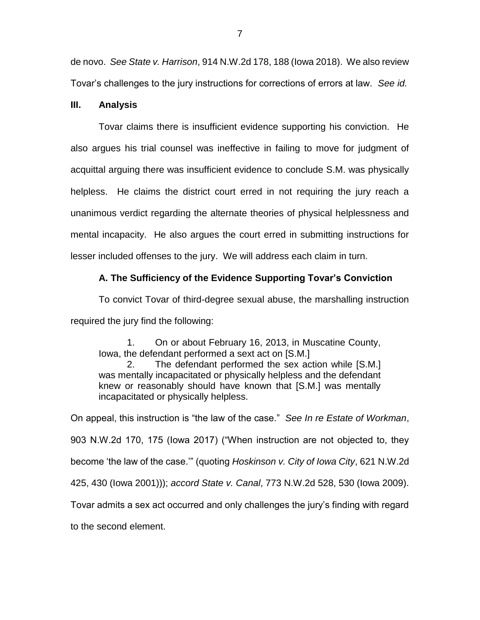de novo. *See State v. Harrison*, 914 N.W.2d 178, 188 (Iowa 2018). We also review Tovar's challenges to the jury instructions for corrections of errors at law. *See id.*

## **III. Analysis**

Tovar claims there is insufficient evidence supporting his conviction. He also argues his trial counsel was ineffective in failing to move for judgment of acquittal arguing there was insufficient evidence to conclude S.M. was physically helpless. He claims the district court erred in not requiring the jury reach a unanimous verdict regarding the alternate theories of physical helplessness and mental incapacity. He also argues the court erred in submitting instructions for lesser included offenses to the jury. We will address each claim in turn.

# **A. The Sufficiency of the Evidence Supporting Tovar's Conviction**

To convict Tovar of third-degree sexual abuse, the marshalling instruction required the jury find the following:

1. On or about February 16, 2013, in Muscatine County, Iowa, the defendant performed a sext act on [S.M.]

2. The defendant performed the sex action while [S.M.] was mentally incapacitated or physically helpless and the defendant knew or reasonably should have known that [S.M.] was mentally incapacitated or physically helpless.

On appeal, this instruction is "the law of the case." *See In re Estate of Workman*, 903 N.W.2d 170, 175 (Iowa 2017) ("When instruction are not objected to, they become 'the law of the case.'" (quoting *Hoskinson v. City of Iowa City*, 621 N.W.2d 425, 430 (Iowa 2001))); *accord State v. Canal*, 773 N.W.2d 528, 530 (Iowa 2009). Tovar admits a sex act occurred and only challenges the jury's finding with regard to the second element.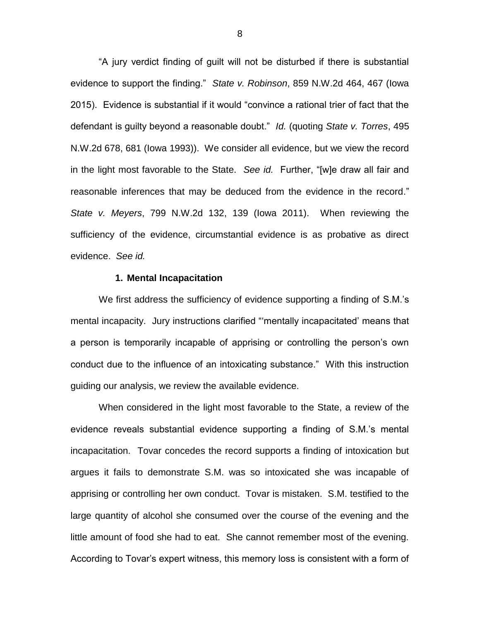"A jury verdict finding of guilt will not be disturbed if there is substantial evidence to support the finding." *State v. Robinson*, 859 N.W.2d 464, 467 (Iowa 2015). Evidence is substantial if it would "convince a rational trier of fact that the defendant is guilty beyond a reasonable doubt." *Id.* (quoting *State v. Torres*, 495 N.W.2d 678, 681 (Iowa 1993)). We consider all evidence, but we view the record in the light most favorable to the State. *See id.* Further, "[w]e draw all fair and reasonable inferences that may be deduced from the evidence in the record." *State v. Meyers*, 799 N.W.2d 132, 139 (Iowa 2011). When reviewing the sufficiency of the evidence, circumstantial evidence is as probative as direct evidence. *See id.*

#### **1. Mental Incapacitation**

We first address the sufficiency of evidence supporting a finding of S.M.'s mental incapacity. Jury instructions clarified "'mentally incapacitated' means that a person is temporarily incapable of apprising or controlling the person's own conduct due to the influence of an intoxicating substance." With this instruction guiding our analysis, we review the available evidence.

When considered in the light most favorable to the State, a review of the evidence reveals substantial evidence supporting a finding of S.M.'s mental incapacitation. Tovar concedes the record supports a finding of intoxication but argues it fails to demonstrate S.M. was so intoxicated she was incapable of apprising or controlling her own conduct. Tovar is mistaken. S.M. testified to the large quantity of alcohol she consumed over the course of the evening and the little amount of food she had to eat. She cannot remember most of the evening. According to Tovar's expert witness, this memory loss is consistent with a form of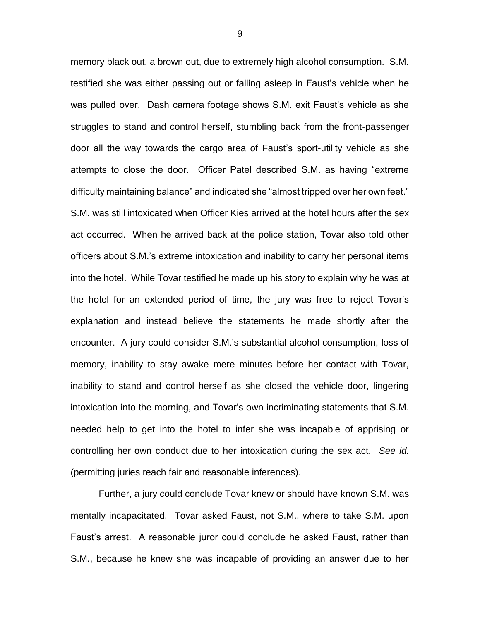memory black out, a brown out, due to extremely high alcohol consumption. S.M. testified she was either passing out or falling asleep in Faust's vehicle when he was pulled over. Dash camera footage shows S.M. exit Faust's vehicle as she struggles to stand and control herself, stumbling back from the front-passenger door all the way towards the cargo area of Faust's sport-utility vehicle as she attempts to close the door. Officer Patel described S.M. as having "extreme difficulty maintaining balance" and indicated she "almost tripped over her own feet." S.M. was still intoxicated when Officer Kies arrived at the hotel hours after the sex act occurred. When he arrived back at the police station, Tovar also told other officers about S.M.'s extreme intoxication and inability to carry her personal items into the hotel. While Tovar testified he made up his story to explain why he was at the hotel for an extended period of time, the jury was free to reject Tovar's explanation and instead believe the statements he made shortly after the encounter. A jury could consider S.M.'s substantial alcohol consumption, loss of memory, inability to stay awake mere minutes before her contact with Tovar, inability to stand and control herself as she closed the vehicle door, lingering intoxication into the morning, and Tovar's own incriminating statements that S.M. needed help to get into the hotel to infer she was incapable of apprising or controlling her own conduct due to her intoxication during the sex act. *See id.* (permitting juries reach fair and reasonable inferences).

Further, a jury could conclude Tovar knew or should have known S.M. was mentally incapacitated. Tovar asked Faust, not S.M., where to take S.M. upon Faust's arrest. A reasonable juror could conclude he asked Faust, rather than S.M., because he knew she was incapable of providing an answer due to her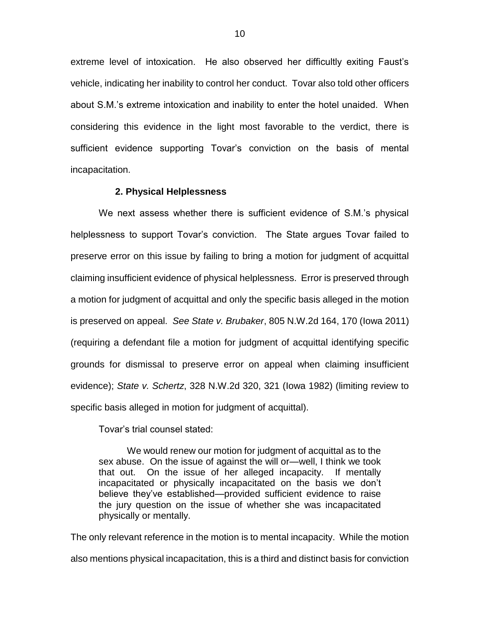extreme level of intoxication. He also observed her difficultly exiting Faust's vehicle, indicating her inability to control her conduct. Tovar also told other officers about S.M.'s extreme intoxication and inability to enter the hotel unaided. When considering this evidence in the light most favorable to the verdict, there is sufficient evidence supporting Tovar's conviction on the basis of mental incapacitation.

#### **2. Physical Helplessness**

We next assess whether there is sufficient evidence of S.M.'s physical helplessness to support Tovar's conviction. The State argues Tovar failed to preserve error on this issue by failing to bring a motion for judgment of acquittal claiming insufficient evidence of physical helplessness. Error is preserved through a motion for judgment of acquittal and only the specific basis alleged in the motion is preserved on appeal. *See State v. Brubaker*, 805 N.W.2d 164, 170 (Iowa 2011) (requiring a defendant file a motion for judgment of acquittal identifying specific grounds for dismissal to preserve error on appeal when claiming insufficient evidence); *State v. Schertz*, 328 N.W.2d 320, 321 (Iowa 1982) (limiting review to specific basis alleged in motion for judgment of acquittal).

Tovar's trial counsel stated:

We would renew our motion for judgment of acquittal as to the sex abuse. On the issue of against the will or—well, I think we took that out. On the issue of her alleged incapacity. If mentally incapacitated or physically incapacitated on the basis we don't believe they've established—provided sufficient evidence to raise the jury question on the issue of whether she was incapacitated physically or mentally.

The only relevant reference in the motion is to mental incapacity. While the motion also mentions physical incapacitation, this is a third and distinct basis for conviction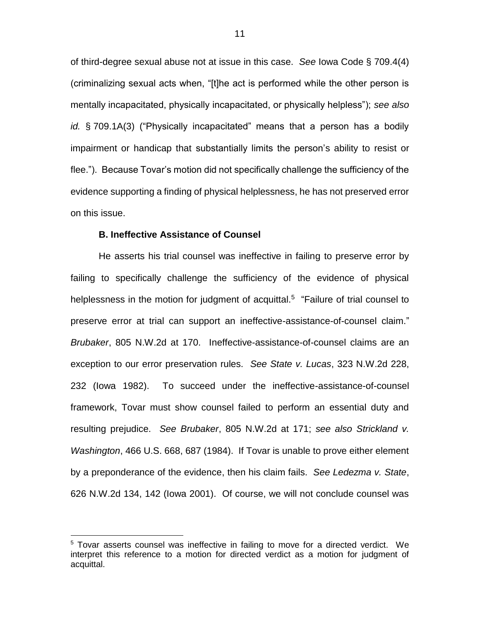of third-degree sexual abuse not at issue in this case. *See* Iowa Code § 709.4(4) (criminalizing sexual acts when, "[t]he act is performed while the other person is mentally incapacitated, physically incapacitated, or physically helpless"); *see also id.* § 709.1A(3) ("Physically incapacitated" means that a person has a bodily impairment or handicap that substantially limits the person's ability to resist or flee."). Because Tovar's motion did not specifically challenge the sufficiency of the evidence supporting a finding of physical helplessness, he has not preserved error on this issue.

## **B. Ineffective Assistance of Counsel**

 $\overline{a}$ 

He asserts his trial counsel was ineffective in failing to preserve error by failing to specifically challenge the sufficiency of the evidence of physical helplessness in the motion for judgment of acquittal.<sup>5</sup> "Failure of trial counsel to preserve error at trial can support an ineffective-assistance-of-counsel claim." *Brubaker*, 805 N.W.2d at 170. Ineffective-assistance-of-counsel claims are an exception to our error preservation rules. *See State v. Lucas*, 323 N.W.2d 228, 232 (Iowa 1982). To succeed under the ineffective-assistance-of-counsel framework, Tovar must show counsel failed to perform an essential duty and resulting prejudice. *See Brubaker*, 805 N.W.2d at 171; *see also Strickland v. Washington*, 466 U.S. 668, 687 (1984). If Tovar is unable to prove either element by a preponderance of the evidence, then his claim fails. *See Ledezma v. State*, 626 N.W.2d 134, 142 (Iowa 2001). Of course, we will not conclude counsel was

<sup>&</sup>lt;sup>5</sup> Tovar asserts counsel was ineffective in failing to move for a directed verdict. We interpret this reference to a motion for directed verdict as a motion for judgment of acquittal.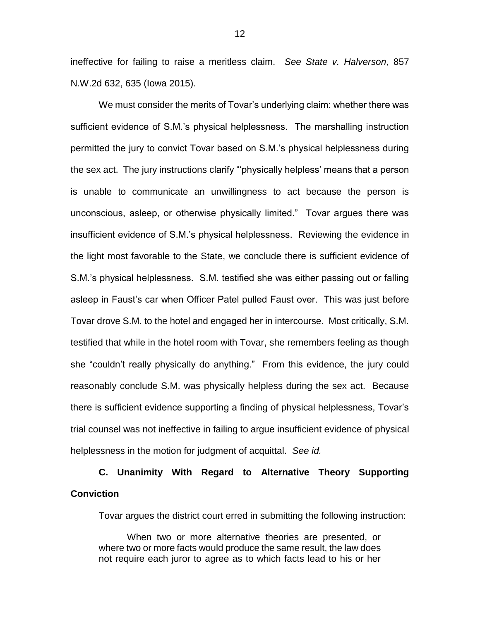ineffective for failing to raise a meritless claim. *See State v. Halverson*, 857 N.W.2d 632, 635 (Iowa 2015).

We must consider the merits of Tovar's underlying claim: whether there was sufficient evidence of S.M.'s physical helplessness. The marshalling instruction permitted the jury to convict Tovar based on S.M.'s physical helplessness during the sex act. The jury instructions clarify "'physically helpless' means that a person is unable to communicate an unwillingness to act because the person is unconscious, asleep, or otherwise physically limited." Tovar argues there was insufficient evidence of S.M.'s physical helplessness. Reviewing the evidence in the light most favorable to the State, we conclude there is sufficient evidence of S.M.'s physical helplessness. S.M. testified she was either passing out or falling asleep in Faust's car when Officer Patel pulled Faust over. This was just before Tovar drove S.M. to the hotel and engaged her in intercourse. Most critically, S.M. testified that while in the hotel room with Tovar, she remembers feeling as though she "couldn't really physically do anything." From this evidence, the jury could reasonably conclude S.M. was physically helpless during the sex act. Because there is sufficient evidence supporting a finding of physical helplessness, Tovar's trial counsel was not ineffective in failing to argue insufficient evidence of physical helplessness in the motion for judgment of acquittal. *See id.*

# **C. Unanimity With Regard to Alternative Theory Supporting Conviction**

Tovar argues the district court erred in submitting the following instruction:

When two or more alternative theories are presented, or where two or more facts would produce the same result, the law does not require each juror to agree as to which facts lead to his or her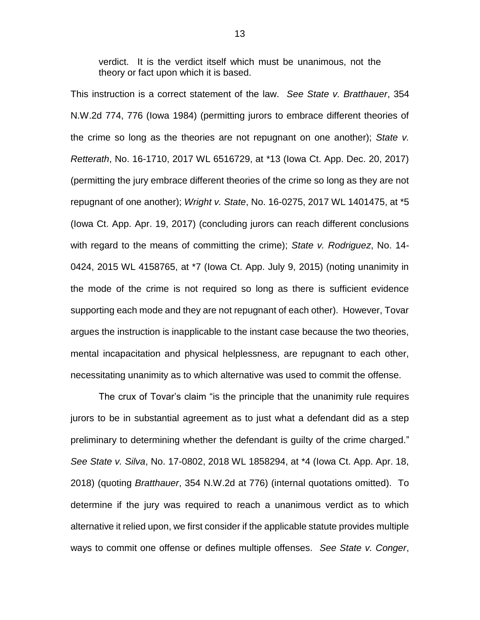verdict. It is the verdict itself which must be unanimous, not the theory or fact upon which it is based.

This instruction is a correct statement of the law. *See State v. Bratthauer*, 354 N.W.2d 774, 776 (Iowa 1984) (permitting jurors to embrace different theories of the crime so long as the theories are not repugnant on one another); *State v. Retterath*, No. 16-1710, 2017 WL 6516729, at \*13 (Iowa Ct. App. Dec. 20, 2017) (permitting the jury embrace different theories of the crime so long as they are not repugnant of one another); *Wright v. State*, No. 16-0275, 2017 WL 1401475, at \*5 (Iowa Ct. App. Apr. 19, 2017) (concluding jurors can reach different conclusions with regard to the means of committing the crime); *State v. Rodriguez*, No. 14- 0424, 2015 WL 4158765, at \*7 (Iowa Ct. App. July 9, 2015) (noting unanimity in the mode of the crime is not required so long as there is sufficient evidence supporting each mode and they are not repugnant of each other). However, Tovar argues the instruction is inapplicable to the instant case because the two theories, mental incapacitation and physical helplessness, are repugnant to each other, necessitating unanimity as to which alternative was used to commit the offense.

The crux of Tovar's claim "is the principle that the unanimity rule requires jurors to be in substantial agreement as to just what a defendant did as a step preliminary to determining whether the defendant is guilty of the crime charged." *See State v. Silva*, No. 17-0802, 2018 WL 1858294, at \*4 (Iowa Ct. App. Apr. 18, 2018) (quoting *Bratthauer*, 354 N.W.2d at 776) (internal quotations omitted). To determine if the jury was required to reach a unanimous verdict as to which alternative it relied upon, we first consider if the applicable statute provides multiple ways to commit one offense or defines multiple offenses. *See State v. Conger*,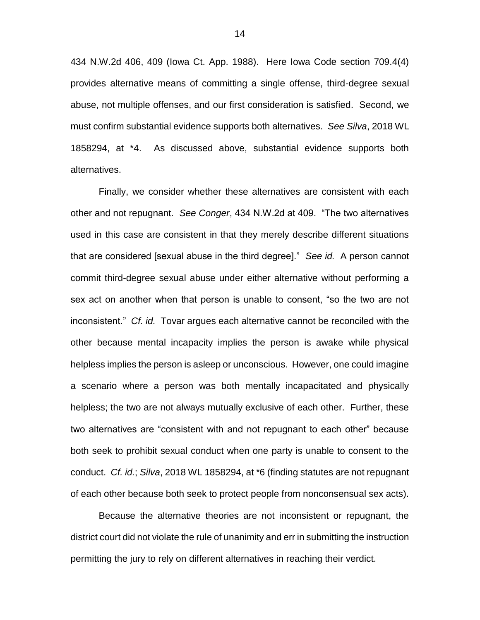434 N.W.2d 406, 409 (Iowa Ct. App. 1988). Here Iowa Code section 709.4(4) provides alternative means of committing a single offense, third-degree sexual abuse, not multiple offenses, and our first consideration is satisfied. Second, we must confirm substantial evidence supports both alternatives. *See Silva*, 2018 WL 1858294, at \*4. As discussed above, substantial evidence supports both alternatives.

Finally, we consider whether these alternatives are consistent with each other and not repugnant. *See Conger*, 434 N.W.2d at 409. "The two alternatives used in this case are consistent in that they merely describe different situations that are considered [sexual abuse in the third degree]." *See id.* A person cannot commit third-degree sexual abuse under either alternative without performing a sex act on another when that person is unable to consent, "so the two are not inconsistent." *Cf. id.* Tovar argues each alternative cannot be reconciled with the other because mental incapacity implies the person is awake while physical helpless implies the person is asleep or unconscious. However, one could imagine a scenario where a person was both mentally incapacitated and physically helpless; the two are not always mutually exclusive of each other. Further, these two alternatives are "consistent with and not repugnant to each other" because both seek to prohibit sexual conduct when one party is unable to consent to the conduct. *Cf. id.*; *Silva*, 2018 WL 1858294, at \*6 (finding statutes are not repugnant of each other because both seek to protect people from nonconsensual sex acts).

Because the alternative theories are not inconsistent or repugnant, the district court did not violate the rule of unanimity and err in submitting the instruction permitting the jury to rely on different alternatives in reaching their verdict.

14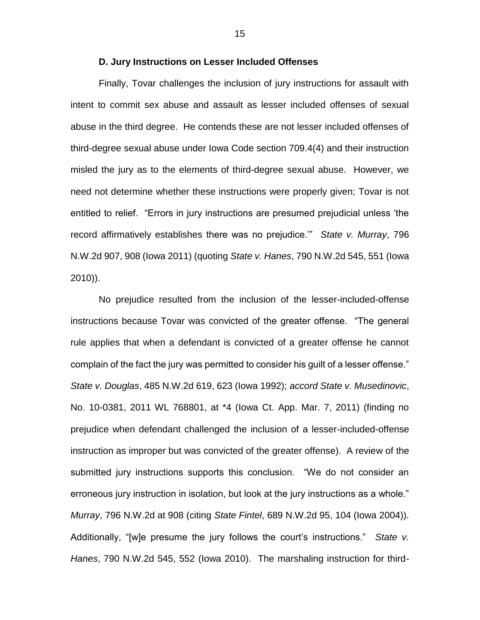#### **D. Jury Instructions on Lesser Included Offenses**

Finally, Tovar challenges the inclusion of jury instructions for assault with intent to commit sex abuse and assault as lesser included offenses of sexual abuse in the third degree. He contends these are not lesser included offenses of third-degree sexual abuse under Iowa Code section 709.4(4) and their instruction misled the jury as to the elements of third-degree sexual abuse. However, we need not determine whether these instructions were properly given; Tovar is not entitled to relief. "Errors in jury instructions are presumed prejudicial unless 'the record affirmatively establishes there was no prejudice.'" *State v. Murray*, 796 N.W.2d 907, 908 (Iowa 2011) (quoting *State v. Hanes*, 790 N.W.2d 545, 551 (Iowa 2010)).

No prejudice resulted from the inclusion of the lesser-included-offense instructions because Tovar was convicted of the greater offense. "The general rule applies that when a defendant is convicted of a greater offense he cannot complain of the fact the jury was permitted to consider his guilt of a lesser offense." *State v. Douglas*, 485 N.W.2d 619, 623 (Iowa 1992); *accord State v. Musedinovic*, No. 10-0381, 2011 WL 768801, at \*4 (Iowa Ct. App. Mar. 7, 2011) (finding no prejudice when defendant challenged the inclusion of a lesser-included-offense instruction as improper but was convicted of the greater offense). A review of the submitted jury instructions supports this conclusion. "We do not consider an erroneous jury instruction in isolation, but look at the jury instructions as a whole." *Murray*, 796 N.W.2d at 908 (citing *State Fintel*, 689 N.W.2d 95, 104 (Iowa 2004)). Additionally, "[w]e presume the jury follows the court's instructions." *State v. Hanes*, 790 N.W.2d 545, 552 (Iowa 2010). The marshaling instruction for third